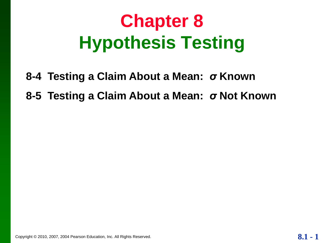# **Chapter 8 Hypothesis Testing**

- **8-4 Testing a Claim About a Mean:** *σ* **Known**
- **8-5 Testing a Claim About a Mean:** *σ* **Not Known**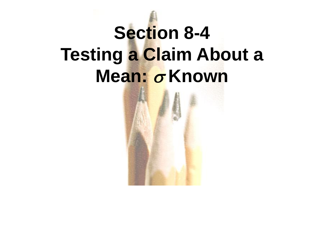# **Section 8-4 Testing a Claim About a Mean: σ Known**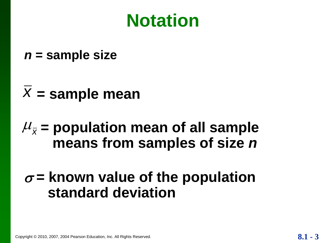## **Notation**

- *n* **= sample size**
- $\overline{X}$  = sample mean

### $\mu_{\bar{x}}$  = population mean of all sample **means from samples of size** *n*

#### $\sigma$  = known value of the population **standard deviation**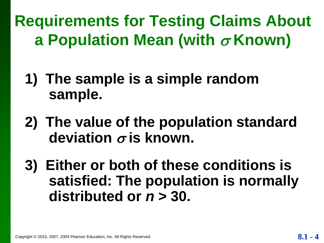**Requirements for Testing Claims About a Population Mean (with** *σ* Known)

- **1) The sample is a simple random sample.**
- **2) The value of the population standard**  deviation  $\sigma$  is known.
- **3) Either or both of these conditions is satisfied: The population is normally distributed or** *n* **> 30.**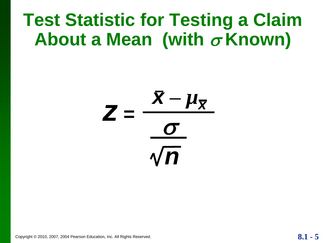# **Test Statistic for Testing a Claim About a Mean (with** *σ* **Known)**



Copyright © 2010, 2007, 2004 Pearson Education, Inc. All Rights Reserved. **8.1 - 5**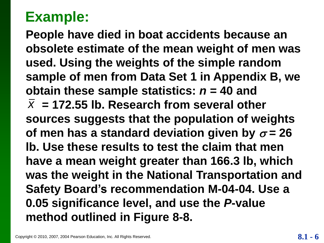**People have died in boat accidents because an obsolete estimate of the mean weight of men was used. Using the weights of the simple random sample of men from Data Set 1 in Appendix B, we obtain these sample statistics:** *n* **= 40 and**  $\bar{x}$  = 172.55 lb. Research from several other **sources suggests that the population of weights**  of men has a standard deviation given by  $\sigma$  = 26 **lb. Use these results to test the claim that men have a mean weight greater than 166.3 lb, which was the weight in the National Transportation and Safety Board's recommendation M-04-04. Use a 0.05 significance level, and use the** *P***-value method outlined in Figure 8-8.**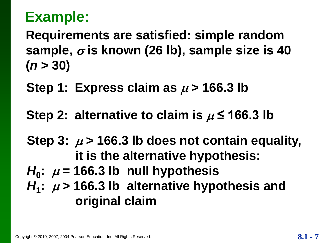**Requirements are satisfied: simple random**  sample,  $\sigma$  is known (26 lb), sample size is 40 **(***n* **> 30)**

Step 1: Express claim as  $\mu$  > 166.3 lb

Step 2: alternative to claim is  $\mu$   $\leq$  166.3 lb

Step 3:  $\mu$  > 166.3 lb does not contain equality, **it is the alternative hypothesis:**

- $H_0$ :  $\mu$  = 166.3 lb null hypothesis
- $H_1$ :  $\mu$  > 166.3 lb alternative hypothesis and **original claim**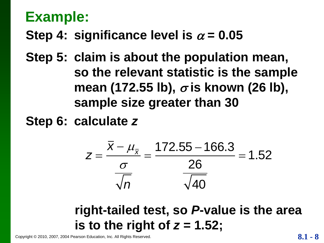#### **Step 4: significance level is**  $\alpha = 0.05$

**Step 5: claim is about the population mean, so the relevant statistic is the sample mean (172.55 lb), σ is known (26 lb), sample size greater than 30**

**Step 6: calculate** *z*

$$
z = \frac{\bar{x} - \mu_{\bar{x}}}{\frac{\sigma}{\sqrt{n}}} = \frac{172.55 - 166.3}{26} = 1.52
$$

#### **right-tailed test, so** *P***-value is the area is to the right of** *z* **= 1.52;**

Copyright © 2010, 2007, 2004 Pearson Education, Inc. All Rights Reserved. **8.1 - 8.1 - 8.1 - 8.1 - 8.1 - 8**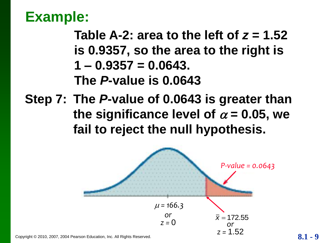**Table A-2: area to the left of**  $z = 1.52$ **is 0.9357, so the area to the right is 1 – 0.9357 = 0.0643. The** *P***-value is 0.0643**

**Step 7: The** *P***-value of 0.0643 is greater than**  the significance level of  $\alpha$  = 0.05, we **fail to reject the null hypothesis.**



Copyright © 2010, 2007, 2004 Pearson Education, Inc. All Rights Reserved. **8.1 - 1.04 1.1 1.1 1.1 1.1 9 1.1 9 1.1 9 1.1 9 1.1 9 1.1 9 1.1 9 1.1 1.1 1.1 1.1 1.1 1.1 1.1 1.1**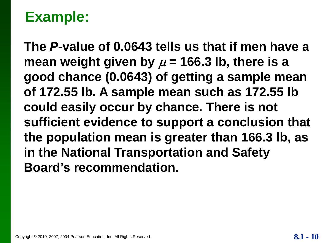**The** *P***-value of 0.0643 tells us that if men have a**  mean weight given by  $\mu$  = 166.3 lb, there is a **good chance (0.0643) of getting a sample mean of 172.55 lb. A sample mean such as 172.55 lb could easily occur by chance. There is not sufficient evidence to support a conclusion that the population mean is greater than 166.3 lb, as in the National Transportation and Safety Board's recommendation.**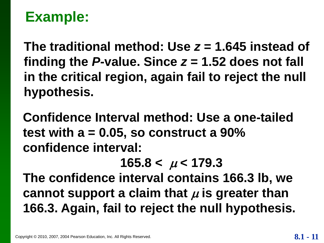**The traditional method: Use** *z* **= 1.645 instead of**  finding the  $P$ -value. Since  $z = 1.52$  does not fall **in the critical region, again fail to reject the null hypothesis.**

**Confidence Interval method: Use a one-tailed test with a = 0.05, so construct a 90% confidence interval:**

 $165.8 < \mu < 179.3$ 

**The confidence interval contains 166.3 lb, we**  cannot support a claim that  $\mu$  is greater than **166.3. Again, fail to reject the null hypothesis.**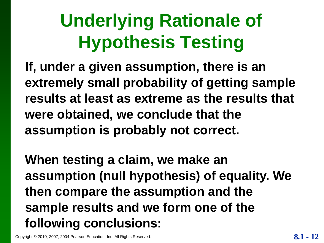# **Underlying Rationale of Hypothesis Testing**

**If, under a given assumption, there is an extremely small probability of getting sample results at least as extreme as the results that were obtained, we conclude that the assumption is probably not correct.**

**When testing a claim, we make an assumption (null hypothesis) of equality. We then compare the assumption and the sample results and we form one of the following conclusions:**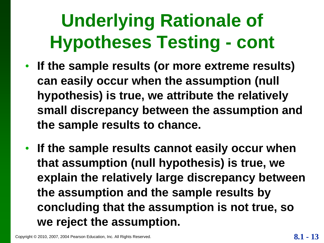# **Underlying Rationale of Hypotheses Testing - cont**

- **If the sample results (or more extreme results) can easily occur when the assumption (null hypothesis) is true, we attribute the relatively small discrepancy between the assumption and the sample results to chance.**
- **If the sample results cannot easily occur when that assumption (null hypothesis) is true, we explain the relatively large discrepancy between the assumption and the sample results by concluding that the assumption is not true, so we reject the assumption.**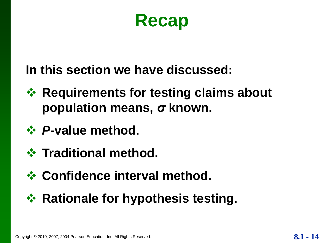**Recap**

#### **In this section we have discussed:**

- **☆ Requirements for testing claims about population means,** *σ* **known.**
- *P***-value method.**
- *<b>❖ Traditional method.*
- *<b>☆ Confidence interval method.*
- **☆ Rationale for hypothesis testing.**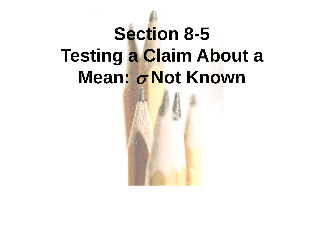# **Section 8-5 Testing a Claim About a Mean:** *σ* **Not Known**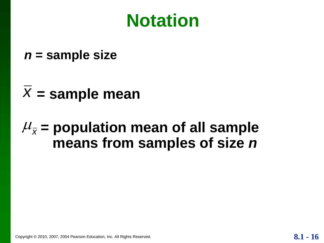## **Notation**

*n* **= sample size**

## $\overline{X}$  = sample mean

### $\mu_{\bar{x}}$  = population mean of all sample **means from samples of size** *n*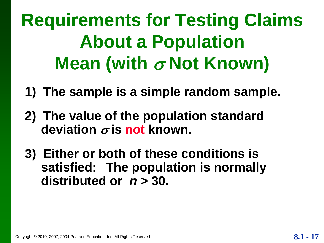**Requirements for Testing Claims About a Population Mean (with** σ Not Known)

- **1) The sample is a simple random sample.**
- **2) The value of the population standard deviation**  $\sigma$  **is not known.**
- **3) Either or both of these conditions is satisfied: The population is normally distributed or** *n* **> 30.**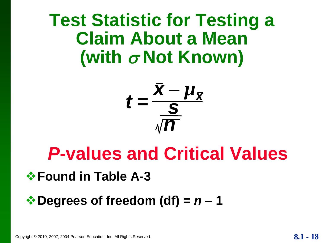## **Test Statistic for Testing a Claim About a Mean**  (with  $\sigma$  Not Known)

$$
t=\frac{\bar{x}-\mu_{\bar{x}}}{\sqrt{n}}
$$

## *P***-values and Critical Values**

#### *<b>☆ Found in Table A-3*

#### $\div$  Degrees of freedom (df) =  $n - 1$

Copyright © 2010, 2007, 2004 Pearson Education, Inc. All Rights Reserved. **8.1 - 18**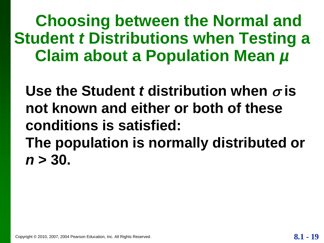**Choosing between the Normal and Student** *t* **Distributions when Testing a Claim about a Population Mean** *µ*

Use the Student *t* distribution when  $\sigma$  is **not known and either or both of these conditions is satisfied: The population is normally distributed or**  *n* **> 30.**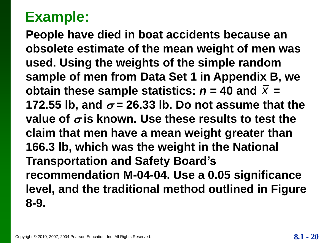**People have died in boat accidents because an obsolete estimate of the mean weight of men was used. Using the weights of the simple random sample of men from Data Set 1 in Appendix B, we obtain these sample statistics:**  $n = 40$  **and**  $\overline{X} =$ **172.55 lb, and**  $\sigma$  **= 26.33 lb. Do not assume that the** value of  $\sigma$  is known. Use these results to test the **claim that men have a mean weight greater than 166.3 lb, which was the weight in the National Transportation and Safety Board's recommendation M-04-04. Use a 0.05 significance level, and the traditional method outlined in Figure 8-9.**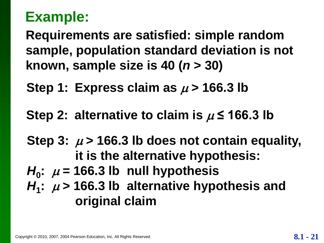**Requirements are satisfied: simple random sample, population standard deviation is not known, sample size is 40 (***n* **> 30)**

**Step 1: Express claim as**  $\mu$  **> 166.3 lb** 

Step 2: alternative to claim is  $\mu$   $\leq$  166.3 lb

Step 3:  $\mu$  > 166.3 lb does not contain equality, **it is the alternative hypothesis:**

- $H_0$ :  $\mu$  = 166.3 lb null hypothesis
- $H_1$ :  $\mu$  > 166.3 lb alternative hypothesis and **original claim**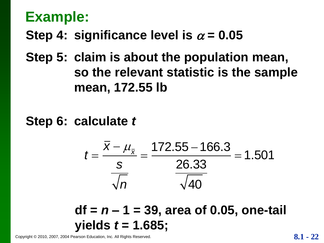#### **Step 4: significance level is**  $\alpha = 0.05$

**Step 5: claim is about the population mean, so the relevant statistic is the sample mean, 172.55 lb**

**Step 6: calculate** *t*

$$
t = \frac{\bar{x} - \mu_{\bar{x}}}{\frac{s}{\sqrt{n}}} = \frac{172.55 - 166.3}{\frac{26.33}{\sqrt{40}}} = 1.501
$$

**df =** *n* **– 1 = 39, area of 0.05, one-tail yields** *t* **= 1.685;**

Copyright © 2010, 2007, 2004 Pearson Education, Inc. All Rights Reserved. **8.1** - 22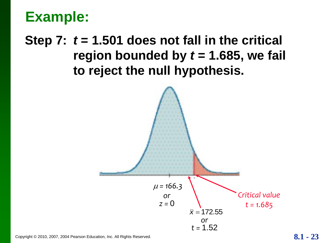#### **Step 7:** *t* **= 1.501 does not fall in the critical**  region bounded by  $t = 1.685$ , we fail **to reject the null hypothesis.**



Copyright © 2010, 2007, 2004 Pearson Education, Inc. All Rights Reserved. **8.1 - 23**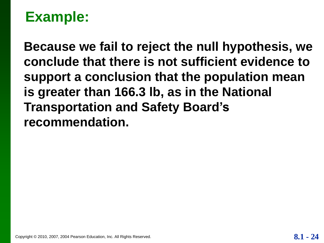**Because we fail to reject the null hypothesis, we conclude that there is not sufficient evidence to support a conclusion that the population mean is greater than 166.3 lb, as in the National Transportation and Safety Board's recommendation.**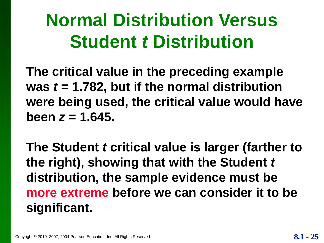# **Normal Distribution Versus Student** *t* **Distribution**

**The critical value in the preceding example**  was  $t = 1.782$ , but if the normal distribution **were being used, the critical value would have been**  $z = 1.645$ .

**The Student** *t* **critical value is larger (farther to the right), showing that with the Student** *t* **distribution, the sample evidence must be more extreme before we can consider it to be significant.**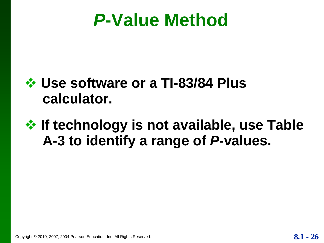## *P***-Value Method**

#### **Use software or a TI-83/84 Plus calculator.**

#### **<del>☆</del> If technology is not available, use Table A-3 to identify a range of** *P***-values.**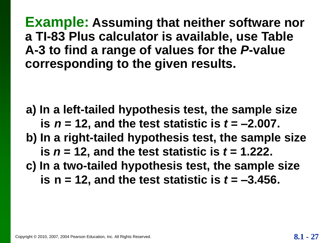**a) In a left-tailed hypothesis test, the sample size is**  $n = 12$ **, and the test statistic is**  $t = -2.007$ **. b) In a right-tailed hypothesis test, the sample size is**  $n = 12$ **, and the test statistic is**  $t = 1.222$ **. c) In a two-tailed hypothesis test, the sample size is n = 12, and the test statistic is**  $t = -3.456$ **.**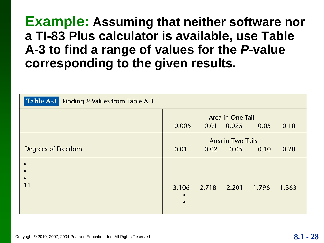| Table A-3 Finding P-Values from Table A-3 |                                                            |                   |                                  |       |       |
|-------------------------------------------|------------------------------------------------------------|-------------------|----------------------------------|-------|-------|
|                                           | Area in One Tail<br>0.005<br>0.01<br>0.025<br>0.05<br>0.10 |                   |                                  |       |       |
| Degrees of Freedom                        | 0.01                                                       |                   | Area in Two Tails<br>$0.02$ 0.05 | 0.10  | 0.20  |
|                                           |                                                            | 3.106 2.718 2.201 |                                  | 1,796 | 1.363 |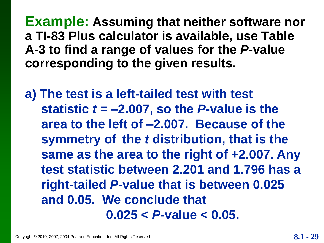**a) The test is a left-tailed test with test statistic**  $t = -2.007$ **, so the P-value is the area to the left of –2.007. Because of the symmetry of the** *t* **distribution, that is the same as the area to the right of +2.007. Any test statistic between 2.201 and 1.796 has a right-tailed** *P***-value that is between 0.025 and 0.05. We conclude that 0.025 <** *P***-value < 0.05.**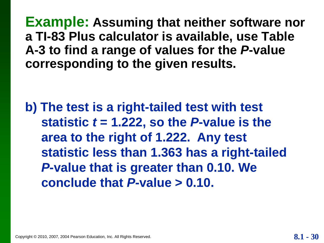**b) The test is a right-tailed test with test statistic**  $t = 1.222$ **, so the P-value is the area to the right of 1.222. Any test statistic less than 1.363 has a right-tailed**  *P***-value that is greater than 0.10. We conclude that** *P***-value > 0.10.**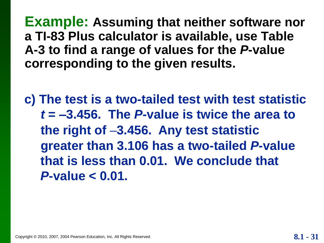**c) The test is a two-tailed test with test statistic**  *t* **= –3.456. The** *P***-value is twice the area to the right of –3.456. Any test statistic greater than 3.106 has a two-tailed** *P***-value that is less than 0.01. We conclude that** *P***-value < 0.01.**